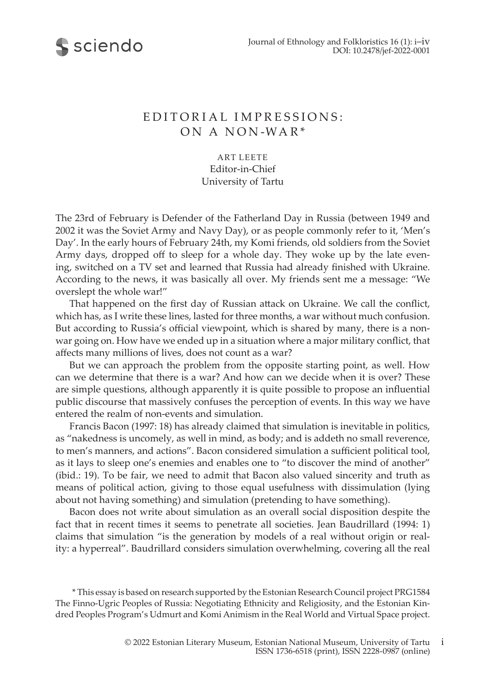



## E DITORIAL IMPRESSIONS: ON A NON -WA R\*

ART LEETE Editor-in-Chief University of Tartu

The 23rd of February is Defender of the Fatherland Day in Russia (between 1949 and 2002 it was the Soviet Army and Navy Day), or as people commonly refer to it, 'Men's Day'. In the early hours of February 24th, my Komi friends, old soldiers from the Soviet Army days, dropped off to sleep for a whole day. They woke up by the late evening, switched on a TV set and learned that Russia had already finished with Ukraine. According to the news, it was basically all over. My friends sent me a message: "We overslept the whole war!"

That happened on the first day of Russian attack on Ukraine. We call the conflict, which has, as I write these lines, lasted for three months, a war without much confusion. But according to Russia's official viewpoint, which is shared by many, there is a nonwar going on. How have we ended up in a situation where a major military conflict, that affects many millions of lives, does not count as a war?

But we can approach the problem from the opposite starting point, as well. How can we determine that there is a war? And how can we decide when it is over? These are simple questions, although apparently it is quite possible to propose an influential public discourse that massively confuses the perception of events. In this way we have entered the realm of non-events and simulation.

Francis Bacon (1997: 18) has already claimed that simulation is inevitable in politics, as "nakedness is uncomely, as well in mind, as body; and is addeth no small reverence, to men's manners, and actions". Bacon considered simulation a sufficient political tool, as it lays to sleep one's enemies and enables one to "to discover the mind of another" (ibid.: 19). To be fair, we need to admit that Bacon also valued sincerity and truth as means of political action, giving to those equal usefulness with dissimulation (lying about not having something) and simulation (pretending to have something).

Bacon does not write about simulation as an overall social disposition despite the fact that in recent times it seems to penetrate all societies. Jean Baudrillard (1994: 1) claims that simulation "is the generation by models of a real without origin or reality: a hyperreal". Baudrillard considers simulation overwhelming, covering all the real

 \* This essay is based on research supported by the Estonian Research Council project PRG1584 The Finno-Ugric Peoples of Russia: Negotiating Ethnicity and Religiosity, and the Estonian Kindred Peoples Program's Udmurt and Komi Animism in the Real World and Virtual Space project.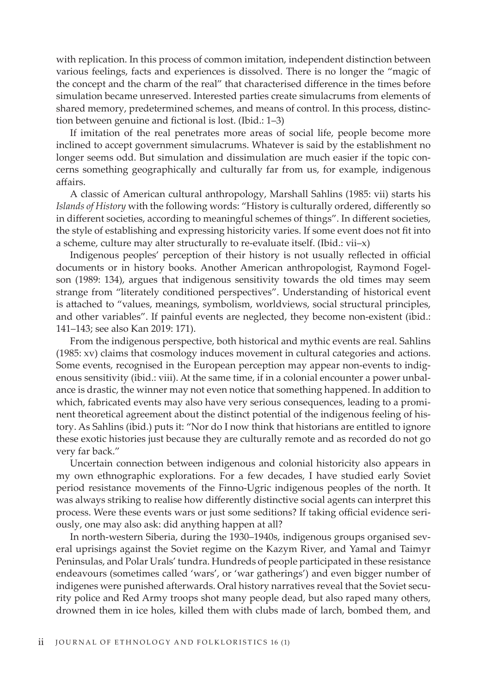with replication. In this process of common imitation, independent distinction between various feelings, facts and experiences is dissolved. There is no longer the "magic of the concept and the charm of the real" that characterised difference in the times before simulation became unreserved. Interested parties create simulacrums from elements of shared memory, predetermined schemes, and means of control. In this process, distinction between genuine and fictional is lost. (Ibid.: 1–3)

If imitation of the real penetrates more areas of social life, people become more inclined to accept government simulacrums. Whatever is said by the establishment no longer seems odd. But simulation and dissimulation are much easier if the topic concerns something geographically and culturally far from us, for example, indigenous affairs.

A classic of American cultural anthropology, Marshall Sahlins (1985: vii) starts his *Islands of History* with the following words: "History is culturally ordered, differently so in different societies, according to meaningful schemes of things". In different societies, the style of establishing and expressing historicity varies. If some event does not fit into a scheme, culture may alter structurally to re-evaluate itself. (Ibid.: vii–x)

Indigenous peoples' perception of their history is not usually reflected in official documents or in history books. Another American anthropologist, Raymond Fogelson (1989: 134), argues that indigenous sensitivity towards the old times may seem strange from "literately conditioned perspectives". Understanding of historical event is attached to "values, meanings, symbolism, worldviews, social structural principles, and other variables". If painful events are neglected, they become non-existent (ibid.: 141–143; see also Kan 2019: 171).

From the indigenous perspective, both historical and mythic events are real. Sahlins (1985: xv) claims that cosmology induces movement in cultural categories and actions. Some events, recognised in the European perception may appear non-events to indigenous sensitivity (ibid.: viii). At the same time, if in a colonial encounter a power unbalance is drastic, the winner may not even notice that something happened. In addition to which, fabricated events may also have very serious consequences, leading to a prominent theoretical agreement about the distinct potential of the indigenous feeling of history. As Sahlins (ibid.) puts it: "Nor do I now think that historians are entitled to ignore these exotic histories just because they are culturally remote and as recorded do not go very far back."

Uncertain connection between indigenous and colonial historicity also appears in my own ethnographic explorations. For a few decades, I have studied early Soviet period resistance movements of the Finno-Ugric indigenous peoples of the north. It was always striking to realise how differently distinctive social agents can interpret this process. Were these events wars or just some seditions? If taking official evidence seriously, one may also ask: did anything happen at all?

In north-western Siberia, during the 1930–1940s, indigenous groups organised several uprisings against the Soviet regime on the Kazym River, and Yamal and Taimyr Peninsulas, and Polar Urals' tundra. Hundreds of people participated in these resistance endeavours (sometimes called 'wars', or 'war gatherings') and even bigger number of indigenes were punished afterwards. Oral history narratives reveal that the Soviet security police and Red Army troops shot many people dead, but also raped many others, drowned them in ice holes, killed them with clubs made of larch, bombed them, and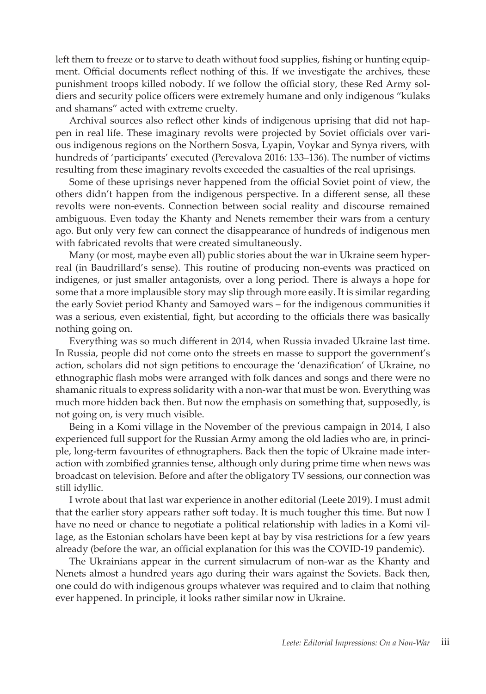left them to freeze or to starve to death without food supplies, fishing or hunting equipment. Official documents reflect nothing of this. If we investigate the archives, these punishment troops killed nobody. If we follow the official story, these Red Army soldiers and security police officers were extremely humane and only indigenous "kulaks and shamans" acted with extreme cruelty.

Archival sources also reflect other kinds of indigenous uprising that did not happen in real life. These imaginary revolts were projected by Soviet officials over various indigenous regions on the Northern Sosva, Lyapin, Voykar and Synya rivers, with hundreds of 'participants' executed (Perevalova 2016: 133–136). The number of victims resulting from these imaginary revolts exceeded the casualties of the real uprisings.

Some of these uprisings never happened from the official Soviet point of view, the others didn't happen from the indigenous perspective. In a different sense, all these revolts were non-events. Connection between social reality and discourse remained ambiguous. Even today the Khanty and Nenets remember their wars from a century ago. But only very few can connect the disappearance of hundreds of indigenous men with fabricated revolts that were created simultaneously.

Many (or most, maybe even all) public stories about the war in Ukraine seem hyperreal (in Baudrillard's sense). This routine of producing non-events was practiced on indigenes, or just smaller antagonists, over a long period. There is always a hope for some that a more implausible story may slip through more easily. It is similar regarding the early Soviet period Khanty and Samoyed wars – for the indigenous communities it was a serious, even existential, fight, but according to the officials there was basically nothing going on.

Everything was so much different in 2014, when Russia invaded Ukraine last time. In Russia, people did not come onto the streets en masse to support the government's action, scholars did not sign petitions to encourage the 'denazification' of Ukraine, no ethnographic flash mobs were arranged with folk dances and songs and there were no shamanic rituals to express solidarity with a non-war that must be won. Everything was much more hidden back then. But now the emphasis on something that, supposedly, is not going on, is very much visible.

Being in a Komi village in the November of the previous campaign in 2014, I also experienced full support for the Russian Army among the old ladies who are, in principle, long-term favourites of ethnographers. Back then the topic of Ukraine made interaction with zombified grannies tense, although only during prime time when news was broadcast on television. Before and after the obligatory TV sessions, our connection was still idyllic.

I wrote about that last war experience in another editorial (Leete 2019). I must admit that the earlier story appears rather soft today. It is much tougher this time. But now I have no need or chance to negotiate a political relationship with ladies in a Komi village, as the Estonian scholars have been kept at bay by visa restrictions for a few years already (before the war, an official explanation for this was the COVID-19 pandemic).

The Ukrainians appear in the current simulacrum of non-war as the Khanty and Nenets almost a hundred years ago during their wars against the Soviets. Back then, one could do with indigenous groups whatever was required and to claim that nothing ever happened. In principle, it looks rather similar now in Ukraine.